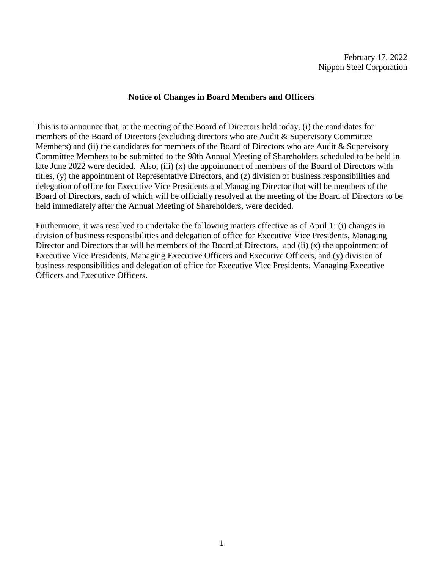# **Notice of Changes in Board Members and Officers**

This is to announce that, at the meeting of the Board of Directors held today, (i) the candidates for members of the Board of Directors (excluding directors who are Audit & Supervisory Committee Members) and (ii) the candidates for members of the Board of Directors who are Audit & Supervisory Committee Members to be submitted to the 98th Annual Meeting of Shareholders scheduled to be held in late June 2022 were decided. Also, (iii) (x) the appointment of members of the Board of Directors with titles, (y) the appointment of Representative Directors, and (z) division of business responsibilities and delegation of office for Executive Vice Presidents and Managing Director that will be members of the Board of Directors, each of which will be officially resolved at the meeting of the Board of Directors to be held immediately after the Annual Meeting of Shareholders, were decided.

Furthermore, it was resolved to undertake the following matters effective as of April 1: (i) changes in division of business responsibilities and delegation of office for Executive Vice Presidents, Managing Director and Directors that will be members of the Board of Directors, and (ii) (x) the appointment of Executive Vice Presidents, Managing Executive Officers and Executive Officers, and (y) division of business responsibilities and delegation of office for Executive Vice Presidents, Managing Executive Officers and Executive Officers.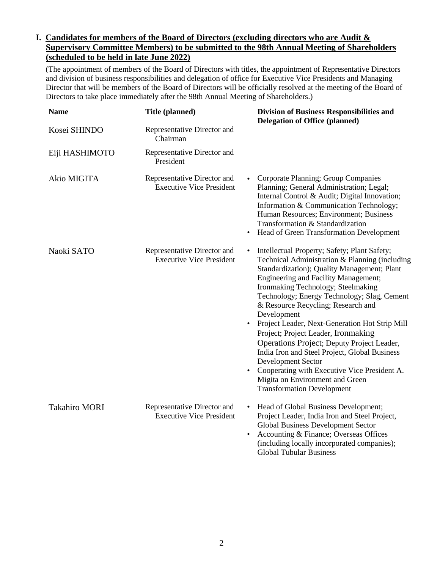# **I. Candidates for members of the Board of Directors (excluding directors who are Audit & Supervisory Committee Members) to be submitted to the 98th Annual Meeting of Shareholders (scheduled to be held in late June 2022)**

(The appointment of members of the Board of Directors with titles, the appointment of Representative Directors and division of business responsibilities and delegation of office for Executive Vice Presidents and Managing Director that will be members of the Board of Directors will be officially resolved at the meeting of the Board of Directors to take place immediately after the 98th Annual Meeting of Shareholders.)

| <b>Name</b>          | Title (planned)                                                | <b>Division of Business Responsibilities and</b><br><b>Delegation of Office (planned)</b>                                                                                                                                                                                                                                                                                                                                                                                                                                                                                                                                                                                                                           |
|----------------------|----------------------------------------------------------------|---------------------------------------------------------------------------------------------------------------------------------------------------------------------------------------------------------------------------------------------------------------------------------------------------------------------------------------------------------------------------------------------------------------------------------------------------------------------------------------------------------------------------------------------------------------------------------------------------------------------------------------------------------------------------------------------------------------------|
| Kosei SHINDO         | Representative Director and<br>Chairman                        |                                                                                                                                                                                                                                                                                                                                                                                                                                                                                                                                                                                                                                                                                                                     |
| Eiji HASHIMOTO       | Representative Director and<br>President                       |                                                                                                                                                                                                                                                                                                                                                                                                                                                                                                                                                                                                                                                                                                                     |
| Akio MIGITA          | Representative Director and<br><b>Executive Vice President</b> | Corporate Planning; Group Companies<br>Planning; General Administration; Legal;<br>Internal Control & Audit; Digital Innovation;<br>Information & Communication Technology;<br>Human Resources; Environment; Business<br>Transformation & Standardization<br>Head of Green Transformation Development                                                                                                                                                                                                                                                                                                                                                                                                               |
| Naoki SATO           | Representative Director and<br><b>Executive Vice President</b> | Intellectual Property; Safety; Plant Safety;<br>$\bullet$<br>Technical Administration & Planning (including<br>Standardization); Quality Management; Plant<br><b>Engineering and Facility Management;</b><br>Ironmaking Technology; Steelmaking<br>Technology; Energy Technology; Slag, Cement<br>& Resource Recycling; Research and<br>Development<br>Project Leader, Next-Generation Hot Strip Mill<br>$\bullet$<br>Project; Project Leader, Ironmaking<br>Operations Project; Deputy Project Leader,<br>India Iron and Steel Project, Global Business<br>Development Sector<br>Cooperating with Executive Vice President A.<br>$\bullet$<br>Migita on Environment and Green<br><b>Transformation Development</b> |
| <b>Takahiro MORI</b> | Representative Director and<br><b>Executive Vice President</b> | Head of Global Business Development;<br>$\bullet$<br>Project Leader, India Iron and Steel Project,<br>Global Business Development Sector<br>Accounting & Finance; Overseas Offices<br>$\bullet$<br>(including locally incorporated companies);<br><b>Global Tubular Business</b>                                                                                                                                                                                                                                                                                                                                                                                                                                    |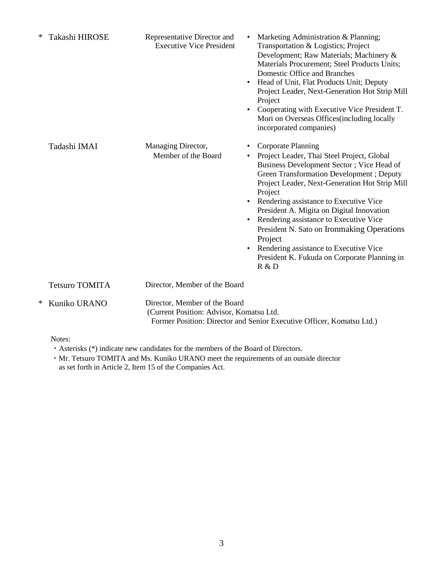| ∗ | Takashi HIROSE        | Representative Director and<br><b>Executive Vice President</b>            | $\bullet$ | Marketing Administration & Planning;<br>Transportation & Logistics; Project<br>Development; Raw Materials; Machinery &<br>Materials Procurement; Steel Products Units;<br>Domestic Office and Branches<br>Head of Unit, Flat Products Unit; Deputy<br>Project Leader, Next-Generation Hot Strip Mill<br>Project<br>Cooperating with Executive Vice President T.<br>Mori on Overseas Offices (including locally<br>incorporated companies)                                                                           |
|---|-----------------------|---------------------------------------------------------------------------|-----------|---------------------------------------------------------------------------------------------------------------------------------------------------------------------------------------------------------------------------------------------------------------------------------------------------------------------------------------------------------------------------------------------------------------------------------------------------------------------------------------------------------------------|
|   | Tadashi IMAI          | Managing Director,<br>Member of the Board                                 | $\bullet$ | Corporate Planning<br>Project Leader, Thai Steel Project, Global<br>Business Development Sector; Vice Head of<br>Green Transformation Development; Deputy<br>Project Leader, Next-Generation Hot Strip Mill<br>Project<br>Rendering assistance to Executive Vice<br>President A. Migita on Digital Innovation<br>Rendering assistance to Executive Vice<br>President N. Sato on Ironmaking Operations<br>Project<br>Rendering assistance to Executive Vice<br>President K. Fukuda on Corporate Planning in<br>R & D |
|   | <b>Tetsuro TOMITA</b> | Director, Member of the Board                                             |           |                                                                                                                                                                                                                                                                                                                                                                                                                                                                                                                     |
| ∗ | Kuniko URANO          | Director, Member of the Board<br>(Current Position: Advisor, Komatsu Ltd. |           | Former Position: Director and Senior Executive Officer, Komatsu Ltd.)                                                                                                                                                                                                                                                                                                                                                                                                                                               |

Notes:

- ・Asterisks (\*) indicate new candidates for the members of the Board of Directors.
- ・Mr. Tetsuro TOMITA and Ms. Kuniko URANO meet the requirements of an outside director as set forth in Article 2, Item 15 of the Companies Act.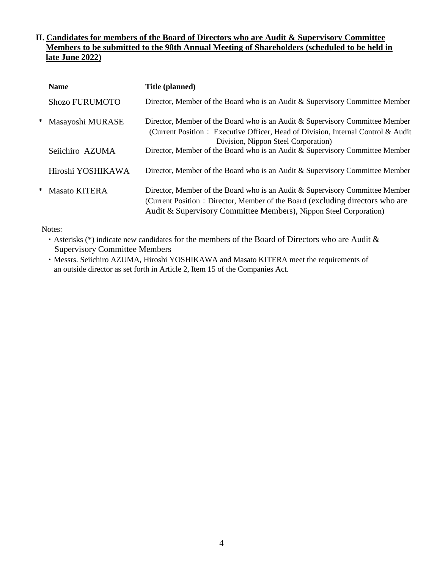# **II. Candidates for members of the Board of Directors who are Audit & Supervisory Committee Members to be submitted to the 98th Annual Meeting of Shareholders (scheduled to be held in late June 2022)**

| <b>Name</b>           | Title (planned)                                                                                                                                                                                                                    |
|-----------------------|------------------------------------------------------------------------------------------------------------------------------------------------------------------------------------------------------------------------------------|
| <b>Shozo FURUMOTO</b> | Director, Member of the Board who is an Audit & Supervisory Committee Member                                                                                                                                                       |
| * Masayoshi MURASE    | Director, Member of the Board who is an Audit & Supervisory Committee Member<br>(Current Position: Executive Officer, Head of Division, Internal Control & Audit<br>Division, Nippon Steel Corporation)                            |
| Seiichiro AZUMA       | Director, Member of the Board who is an Audit & Supervisory Committee Member                                                                                                                                                       |
| Hiroshi YOSHIKAWA     | Director, Member of the Board who is an Audit & Supervisory Committee Member                                                                                                                                                       |
| * Masato KITERA       | Director, Member of the Board who is an Audit & Supervisory Committee Member<br>(Current Position: Director, Member of the Board (excluding directors who are<br>Audit & Supervisory Committee Members), Nippon Steel Corporation) |

Notes:

・Asterisks (\*) indicate new candidates for the members of the Board of Directors who are Audit & Supervisory Committee Members

・Messrs. Seiichiro AZUMA, Hiroshi YOSHIKAWA and Masato KITERA meet the requirements of an outside director as set forth in Article 2, Item 15 of the Companies Act.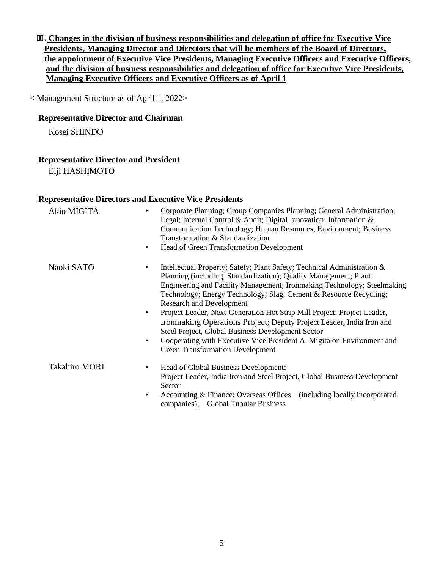Ⅲ**. Changes in the division of business responsibilities and delegation of office for Executive Vice Presidents, Managing Director and Directors that will be members of the Board of Directors, the appointment of Executive Vice Presidents, Managing Executive Officers and Executive Officers, and the division of business responsibilities and delegation of office for Executive Vice Presidents, Managing Executive Officers and Executive Officers as of April 1**

< Management Structure as of April 1, 2022>

## **Representative Director and Chairman**

Kosei SHINDO

## **Representative Director and President**

Eiji HASHIMOTO

#### **Representative Directors and Executive Vice Presidents**

| Akio MIGITA          | Corporate Planning; Group Companies Planning; General Administration;<br>Legal; Internal Control & Audit; Digital Innovation; Information &<br>Communication Technology; Human Resources; Environment; Business<br>Transformation & Standardization<br>Head of Green Transformation Development<br>٠                                                                                                                                                                                                                                               |
|----------------------|----------------------------------------------------------------------------------------------------------------------------------------------------------------------------------------------------------------------------------------------------------------------------------------------------------------------------------------------------------------------------------------------------------------------------------------------------------------------------------------------------------------------------------------------------|
| Naoki SATO           | Intellectual Property; Safety; Plant Safety; Technical Administration &<br>Planning (including Standardization); Quality Management; Plant<br>Engineering and Facility Management; Ironmaking Technology; Steelmaking<br>Technology; Energy Technology; Slag, Cement & Resource Recycling;<br><b>Research and Development</b><br>Project Leader, Next-Generation Hot Strip Mill Project; Project Leader,<br>$\bullet$<br>Ironmaking Operations Project; Deputy Project Leader, India Iron and<br>Steel Project, Global Business Development Sector |
|                      | Cooperating with Executive Vice President A. Migita on Environment and<br>٠<br><b>Green Transformation Development</b>                                                                                                                                                                                                                                                                                                                                                                                                                             |
| <b>Takahiro MORI</b> | Head of Global Business Development;<br>٠<br>Project Leader, India Iron and Steel Project, Global Business Development<br>Sector<br>Accounting & Finance; Overseas Offices (including locally incorporated<br>٠<br>companies); Global Tubular Business                                                                                                                                                                                                                                                                                             |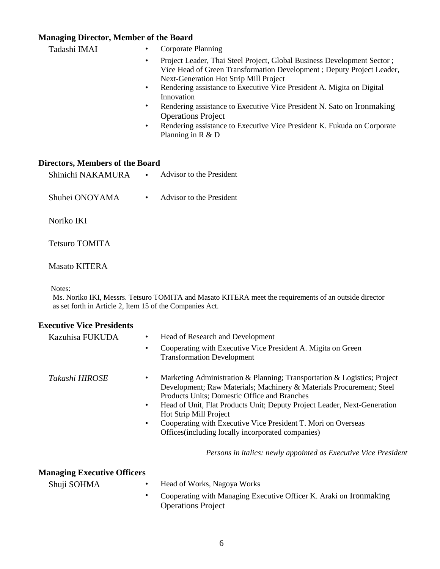# **Managing Director, Member of the Board**

| Tadashi IMAI                           | Corporate Planning<br>$\bullet$                                                                                                                                                                                                                                                                      |
|----------------------------------------|------------------------------------------------------------------------------------------------------------------------------------------------------------------------------------------------------------------------------------------------------------------------------------------------------|
|                                        | Project Leader, Thai Steel Project, Global Business Development Sector;<br>$\bullet$<br>Vice Head of Green Transformation Development; Deputy Project Leader,<br><b>Next-Generation Hot Strip Mill Project</b><br>Rendering assistance to Executive Vice President A. Migita on Digital<br>$\bullet$ |
|                                        | Innovation                                                                                                                                                                                                                                                                                           |
|                                        | Rendering assistance to Executive Vice President N. Sato on Ironmaking<br>٠<br><b>Operations Project</b>                                                                                                                                                                                             |
|                                        | Rendering assistance to Executive Vice President K. Fukuda on Corporate<br>$\bullet$<br>Planning in $R \& D$                                                                                                                                                                                         |
| <b>Directors, Members of the Board</b> |                                                                                                                                                                                                                                                                                                      |
| Shinichi NAKAMURA                      | Advisor to the President<br>$\bullet$                                                                                                                                                                                                                                                                |
| Shuhei ONOYAMA                         | Advisor to the President<br>$\bullet$                                                                                                                                                                                                                                                                |
| Noriko IKI                             |                                                                                                                                                                                                                                                                                                      |

Tetsuro TOMITA

### Masato KITERA

Notes:

 Ms. Noriko IKI, Messrs. Tetsuro TOMITA and Masato KITERA meet the requirements of an outside director as set forth in Article 2, Item 15 of the Companies Act.

## **Executive Vice Presidents**

| Kazuhisa FUKUDA | Head of Research and Development                                                                                                                                                                                                                                                                                                                                                                                                                                     |
|-----------------|----------------------------------------------------------------------------------------------------------------------------------------------------------------------------------------------------------------------------------------------------------------------------------------------------------------------------------------------------------------------------------------------------------------------------------------------------------------------|
|                 | Cooperating with Executive Vice President A. Migita on Green<br>$\bullet$<br><b>Transformation Development</b>                                                                                                                                                                                                                                                                                                                                                       |
| Takashi HIROSE  | Marketing Administration & Planning; Transportation & Logistics; Project<br>$\bullet$<br>Development; Raw Materials; Machinery & Materials Procurement; Steel<br>Products Units; Domestic Office and Branches<br>Head of Unit, Flat Products Unit; Deputy Project Leader, Next-Generation<br>$\bullet$<br>Hot Strip Mill Project<br>Cooperating with Executive Vice President T. Mori on Overseas<br>$\bullet$<br>Offices (including locally incorporated companies) |

*Persons in italics: newly appointed as Executive Vice President*

# **Managing Executive Officers**

| Shuji SOHMA | Head of Works, Nagoya Works |
|-------------|-----------------------------|
|-------------|-----------------------------|

• Cooperating with Managing Executive Officer K. Araki on Ironmaking Operations Project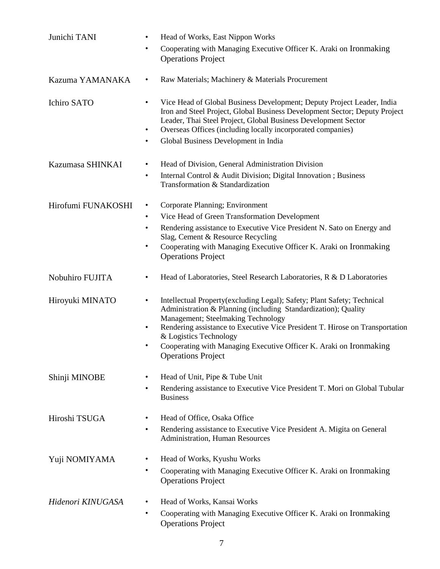| Junichi TANI       | Head of Works, East Nippon Works<br>$\bullet$                                                                                                                                                                                                                                                                                                                                                                          |
|--------------------|------------------------------------------------------------------------------------------------------------------------------------------------------------------------------------------------------------------------------------------------------------------------------------------------------------------------------------------------------------------------------------------------------------------------|
|                    | Cooperating with Managing Executive Officer K. Araki on Ironmaking<br><b>Operations Project</b>                                                                                                                                                                                                                                                                                                                        |
| Kazuma YAMANAKA    | Raw Materials; Machinery & Materials Procurement<br>$\bullet$                                                                                                                                                                                                                                                                                                                                                          |
| Ichiro SATO        | Vice Head of Global Business Development; Deputy Project Leader, India<br>$\bullet$<br>Iron and Steel Project, Global Business Development Sector; Deputy Project<br>Leader, Thai Steel Project, Global Business Development Sector<br>Overseas Offices (including locally incorporated companies)<br>$\bullet$<br>Global Business Development in India<br>$\bullet$                                                   |
| Kazumasa SHINKAI   | Head of Division, General Administration Division<br>$\bullet$                                                                                                                                                                                                                                                                                                                                                         |
|                    | Internal Control & Audit Division; Digital Innovation; Business<br>$\bullet$<br>Transformation & Standardization                                                                                                                                                                                                                                                                                                       |
| Hirofumi FUNAKOSHI | Corporate Planning; Environment<br>$\bullet$                                                                                                                                                                                                                                                                                                                                                                           |
|                    | Vice Head of Green Transformation Development<br>$\bullet$                                                                                                                                                                                                                                                                                                                                                             |
|                    | Rendering assistance to Executive Vice President N. Sato on Energy and<br>$\bullet$<br>Slag, Cement & Resource Recycling                                                                                                                                                                                                                                                                                               |
|                    | Cooperating with Managing Executive Officer K. Araki on Ironmaking<br>$\bullet$<br><b>Operations Project</b>                                                                                                                                                                                                                                                                                                           |
| Nobuhiro FUJITA    | Head of Laboratories, Steel Research Laboratories, R & D Laboratories<br>$\bullet$                                                                                                                                                                                                                                                                                                                                     |
| Hiroyuki MINATO    | Intellectual Property(excluding Legal); Safety; Plant Safety; Technical<br>$\bullet$<br>Administration & Planning (including Standardization); Quality<br>Management; Steelmaking Technology<br>Rendering assistance to Executive Vice President T. Hirose on Transportation<br>$\bullet$<br>& Logistics Technology<br>Cooperating with Managing Executive Officer K. Araki on Ironmaking<br><b>Operations Project</b> |
| Shinji MINOBE      | Head of Unit, Pipe & Tube Unit<br>$\bullet$                                                                                                                                                                                                                                                                                                                                                                            |
|                    | Rendering assistance to Executive Vice President T. Mori on Global Tubular<br>$\bullet$<br><b>Business</b>                                                                                                                                                                                                                                                                                                             |
| Hiroshi TSUGA      | Head of Office, Osaka Office<br>$\bullet$                                                                                                                                                                                                                                                                                                                                                                              |
|                    | Rendering assistance to Executive Vice President A. Migita on General<br>$\bullet$<br><b>Administration, Human Resources</b>                                                                                                                                                                                                                                                                                           |
| Yuji NOMIYAMA      | Head of Works, Kyushu Works<br>$\bullet$                                                                                                                                                                                                                                                                                                                                                                               |
|                    | Cooperating with Managing Executive Officer K. Araki on Ironmaking<br>$\bullet$<br><b>Operations Project</b>                                                                                                                                                                                                                                                                                                           |
| Hidenori KINUGASA  | Head of Works, Kansai Works<br>$\bullet$                                                                                                                                                                                                                                                                                                                                                                               |
|                    | Cooperating with Managing Executive Officer K. Araki on Ironmaking<br>$\bullet$<br><b>Operations Project</b>                                                                                                                                                                                                                                                                                                           |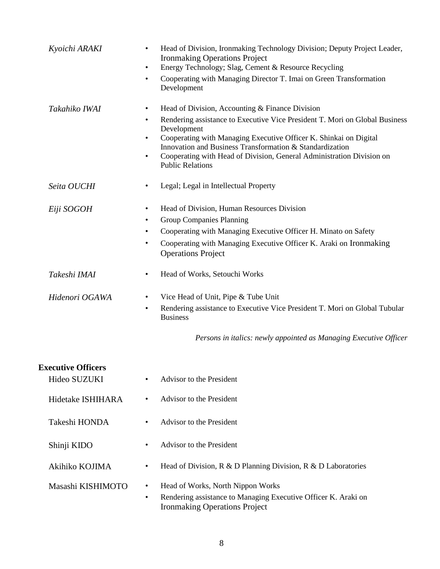| Kyoichi ARAKI                             | Head of Division, Ironmaking Technology Division; Deputy Project Leader,<br>$\bullet$<br><b>Ironmaking Operations Project</b><br>Energy Technology; Slag, Cement & Resource Recycling<br>$\bullet$<br>Cooperating with Managing Director T. Imai on Green Transformation<br>$\bullet$<br>Development                                                                                                                                   |
|-------------------------------------------|----------------------------------------------------------------------------------------------------------------------------------------------------------------------------------------------------------------------------------------------------------------------------------------------------------------------------------------------------------------------------------------------------------------------------------------|
| Takahiko IWAI                             | Head of Division, Accounting & Finance Division<br>$\bullet$<br>Rendering assistance to Executive Vice President T. Mori on Global Business<br>$\bullet$<br>Development<br>Cooperating with Managing Executive Officer K. Shinkai on Digital<br>$\bullet$<br>Innovation and Business Transformation & Standardization<br>Cooperating with Head of Division, General Administration Division on<br>$\bullet$<br><b>Public Relations</b> |
| Seita OUCHI                               | Legal; Legal in Intellectual Property                                                                                                                                                                                                                                                                                                                                                                                                  |
| Eiji SOGOH                                | Head of Division, Human Resources Division<br><b>Group Companies Planning</b><br>Cooperating with Managing Executive Officer H. Minato on Safety<br>Cooperating with Managing Executive Officer K. Araki on Ironmaking<br><b>Operations Project</b>                                                                                                                                                                                    |
| Takeshi IMAI                              | Head of Works, Setouchi Works                                                                                                                                                                                                                                                                                                                                                                                                          |
| Hidenori OGAWA                            | Vice Head of Unit, Pipe & Tube Unit<br>٠<br>Rendering assistance to Executive Vice President T. Mori on Global Tubular<br>$\bullet$<br><b>Business</b><br>Persons in italics: newly appointed as Managing Executive Officer                                                                                                                                                                                                            |
| <b>Executive Officers</b><br>Hideo SUZUKI | Advisor to the President                                                                                                                                                                                                                                                                                                                                                                                                               |
| Hidetake ISHIHARA                         | Advisor to the President<br>$\bullet$                                                                                                                                                                                                                                                                                                                                                                                                  |
| Takeshi HONDA                             | Advisor to the President                                                                                                                                                                                                                                                                                                                                                                                                               |
| Shinji KIDO                               | Advisor to the President<br>$\bullet$                                                                                                                                                                                                                                                                                                                                                                                                  |
| Akihiko KOJIMA                            | Head of Division, $R \& D$ Planning Division, $R \& D$ Laboratories<br>$\bullet$                                                                                                                                                                                                                                                                                                                                                       |
| Masashi KISHIMOTO                         | Head of Works, North Nippon Works<br>$\bullet$<br>Rendering assistance to Managing Executive Officer K. Araki on<br>$\bullet$<br><b>Ironmaking Operations Project</b>                                                                                                                                                                                                                                                                  |
|                                           |                                                                                                                                                                                                                                                                                                                                                                                                                                        |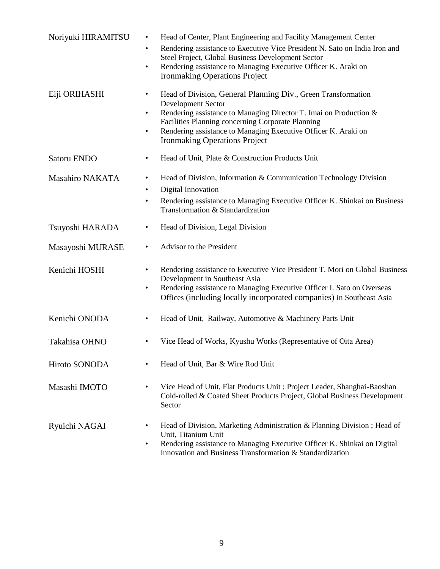| Noriyuki HIRAMITSU     | Head of Center, Plant Engineering and Facility Management Center<br>$\bullet$<br>Rendering assistance to Executive Vice President N. Sato on India Iron and<br>$\bullet$<br>Steel Project, Global Business Development Sector<br>Rendering assistance to Managing Executive Officer K. Araki on<br>$\bullet$<br><b>Ironmaking Operations Project</b>                  |
|------------------------|-----------------------------------------------------------------------------------------------------------------------------------------------------------------------------------------------------------------------------------------------------------------------------------------------------------------------------------------------------------------------|
| Eiji ORIHASHI          | Head of Division, General Planning Div., Green Transformation<br>$\bullet$<br><b>Development Sector</b><br>Rendering assistance to Managing Director T. Imai on Production &<br>$\bullet$<br>Facilities Planning concerning Corporate Planning<br>Rendering assistance to Managing Executive Officer K. Araki on<br>$\bullet$<br><b>Ironmaking Operations Project</b> |
| Satoru ENDO            | Head of Unit, Plate & Construction Products Unit<br>٠                                                                                                                                                                                                                                                                                                                 |
| <b>Masahiro NAKATA</b> | Head of Division, Information & Communication Technology Division<br>$\bullet$<br>Digital Innovation<br>$\bullet$<br>Rendering assistance to Managing Executive Officer K. Shinkai on Business<br>٠<br>Transformation & Standardization                                                                                                                               |
| Tsuyoshi HARADA        | Head of Division, Legal Division<br>$\bullet$                                                                                                                                                                                                                                                                                                                         |
| Masayoshi MURASE       | Advisor to the President<br>$\bullet$                                                                                                                                                                                                                                                                                                                                 |
| Kenichi HOSHI          | Rendering assistance to Executive Vice President T. Mori on Global Business<br>$\bullet$<br>Development in Southeast Asia<br>Rendering assistance to Managing Executive Officer I. Sato on Overseas<br>$\bullet$<br>Offices (including locally incorporated companies) in Southeast Asia                                                                              |
| Kenichi ONODA          | Head of Unit, Railway, Automotive & Machinery Parts Unit<br>$\bullet$                                                                                                                                                                                                                                                                                                 |
| Takahisa OHNO          | Vice Head of Works, Kyushu Works (Representative of Oita Area)                                                                                                                                                                                                                                                                                                        |
| Hiroto SONODA          | Head of Unit, Bar & Wire Rod Unit<br>$\bullet$                                                                                                                                                                                                                                                                                                                        |
| Masashi IMOTO          | Vice Head of Unit, Flat Products Unit; Project Leader, Shanghai-Baoshan<br>$\bullet$<br>Cold-rolled & Coated Sheet Products Project, Global Business Development<br>Sector                                                                                                                                                                                            |
| Ryuichi NAGAI          | Head of Division, Marketing Administration & Planning Division; Head of<br>$\bullet$<br>Unit, Titanium Unit<br>Rendering assistance to Managing Executive Officer K. Shinkai on Digital<br>$\bullet$<br>Innovation and Business Transformation & Standardization                                                                                                      |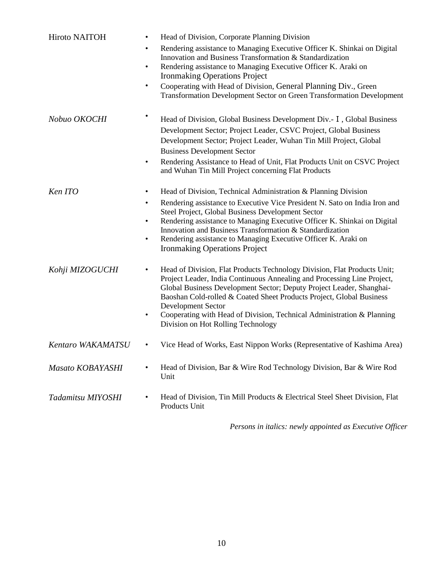| Hiroto NAITOH     | Head of Division, Corporate Planning Division<br>$\bullet$<br>Rendering assistance to Managing Executive Officer K. Shinkai on Digital<br>$\bullet$<br>Innovation and Business Transformation & Standardization<br>Rendering assistance to Managing Executive Officer K. Araki on<br>$\bullet$<br><b>Ironmaking Operations Project</b><br>Cooperating with Head of Division, General Planning Div., Green<br>$\bullet$<br>Transformation Development Sector on Green Transformation Development         |
|-------------------|---------------------------------------------------------------------------------------------------------------------------------------------------------------------------------------------------------------------------------------------------------------------------------------------------------------------------------------------------------------------------------------------------------------------------------------------------------------------------------------------------------|
| Nobuo OKOCHI      | Head of Division, Global Business Development Div. - I, Global Business<br>Development Sector; Project Leader, CSVC Project, Global Business<br>Development Sector; Project Leader, Wuhan Tin Mill Project, Global<br><b>Business Development Sector</b><br>Rendering Assistance to Head of Unit, Flat Products Unit on CSVC Project<br>$\bullet$<br>and Wuhan Tin Mill Project concerning Flat Products                                                                                                |
| Ken ITO           | Head of Division, Technical Administration & Planning Division<br>$\bullet$<br>Rendering assistance to Executive Vice President N. Sato on India Iron and<br>$\bullet$<br>Steel Project, Global Business Development Sector<br>Rendering assistance to Managing Executive Officer K. Shinkai on Digital<br>$\bullet$<br>Innovation and Business Transformation & Standardization<br>Rendering assistance to Managing Executive Officer K. Araki on<br>$\bullet$<br><b>Ironmaking Operations Project</b> |
| Kohji MIZOGUCHI   | Head of Division, Flat Products Technology Division, Flat Products Unit;<br>$\bullet$<br>Project Leader, India Continuous Annealing and Processing Line Project,<br>Global Business Development Sector; Deputy Project Leader, Shanghai-<br>Baoshan Cold-rolled & Coated Sheet Products Project, Global Business<br><b>Development Sector</b><br>Cooperating with Head of Division, Technical Administration & Planning<br>$\bullet$<br>Division on Hot Rolling Technology                              |
| Kentaro WAKAMATSU | Vice Head of Works, East Nippon Works (Representative of Kashima Area)<br>$\bullet$                                                                                                                                                                                                                                                                                                                                                                                                                     |
| Masato KOBAYASHI  | Head of Division, Bar & Wire Rod Technology Division, Bar & Wire Rod<br>Unit                                                                                                                                                                                                                                                                                                                                                                                                                            |
| Tadamitsu MIYOSHI | Head of Division, Tin Mill Products & Electrical Steel Sheet Division, Flat<br>$\bullet$<br>Products Unit                                                                                                                                                                                                                                                                                                                                                                                               |

*Persons in italics: newly appointed as Executive Officer*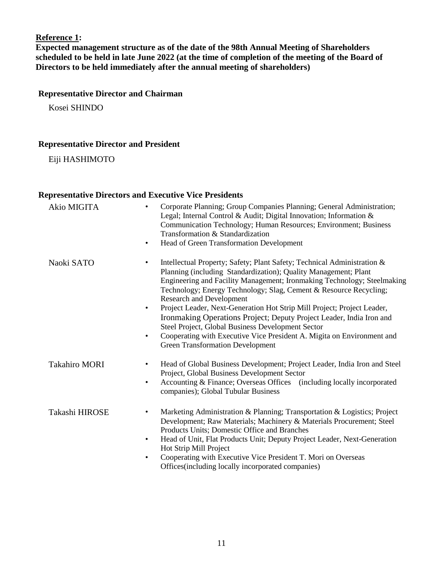# **Reference 1:**

**Expected management structure as of the date of the 98th Annual Meeting of Shareholders scheduled to be held in late June 2022 (at the time of completion of the meeting of the Board of Directors to be held immediately after the annual meeting of shareholders)**

# **Representative Director and Chairman**

Kosei SHINDO

# **Representative Director and President**

Eiji HASHIMOTO

# **Representative Directors and Executive Vice Presidents**

| Akio MIGITA          | Corporate Planning; Group Companies Planning; General Administration;<br>$\bullet$<br>Legal; Internal Control & Audit; Digital Innovation; Information &<br>Communication Technology; Human Resources; Environment; Business<br>Transformation & Standardization<br>Head of Green Transformation Development<br>$\bullet$                                                                                                                                                                                                                                                                                                                                                            |
|----------------------|--------------------------------------------------------------------------------------------------------------------------------------------------------------------------------------------------------------------------------------------------------------------------------------------------------------------------------------------------------------------------------------------------------------------------------------------------------------------------------------------------------------------------------------------------------------------------------------------------------------------------------------------------------------------------------------|
| Naoki SATO           | Intellectual Property; Safety; Plant Safety; Technical Administration &<br>Planning (including Standardization); Quality Management; Plant<br>Engineering and Facility Management; Ironmaking Technology; Steelmaking<br>Technology; Energy Technology; Slag, Cement & Resource Recycling;<br><b>Research and Development</b><br>Project Leader, Next-Generation Hot Strip Mill Project; Project Leader,<br>$\bullet$<br>Ironmaking Operations Project; Deputy Project Leader, India Iron and<br>Steel Project, Global Business Development Sector<br>Cooperating with Executive Vice President A. Migita on Environment and<br>$\bullet$<br><b>Green Transformation Development</b> |
| <b>Takahiro MORI</b> | Head of Global Business Development; Project Leader, India Iron and Steel<br>$\bullet$<br>Project, Global Business Development Sector<br>Accounting & Finance; Overseas Offices (including locally incorporated<br>$\bullet$<br>companies); Global Tubular Business                                                                                                                                                                                                                                                                                                                                                                                                                  |
| Takashi HIROSE       | Marketing Administration & Planning; Transportation & Logistics; Project<br>$\bullet$<br>Development; Raw Materials; Machinery & Materials Procurement; Steel<br>Products Units; Domestic Office and Branches<br>Head of Unit, Flat Products Unit; Deputy Project Leader, Next-Generation<br>$\bullet$<br>Hot Strip Mill Project<br>Cooperating with Executive Vice President T. Mori on Overseas<br>$\bullet$<br>Offices (including locally incorporated companies)                                                                                                                                                                                                                 |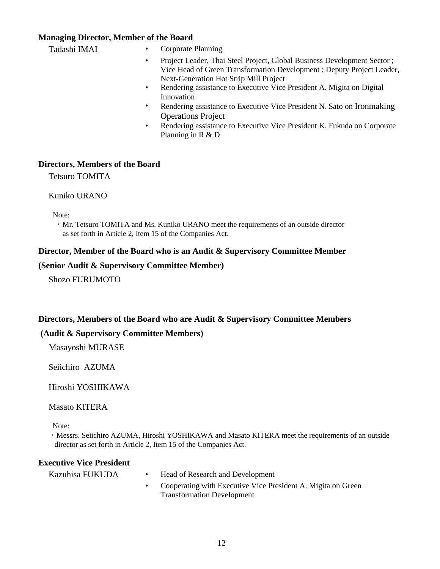# **Managing Director, Member of the Board**

| Tadashi IMAI | Corporate Planning<br>٠                                                                                                                                                                                 |
|--------------|---------------------------------------------------------------------------------------------------------------------------------------------------------------------------------------------------------|
|              | Project Leader, Thai Steel Project, Global Business Development Sector;<br>$\bullet$<br>Vice Head of Green Transformation Development; Deputy Project Leader,<br>Next-Generation Hot Strip Mill Project |
|              | Rendering assistance to Executive Vice President A. Migita on Digital<br>$\bullet$<br>Innovation                                                                                                        |
|              | Rendering assistance to Executive Vice President N. Sato on Ironmaking<br>$\bullet$<br><b>Operations Project</b>                                                                                        |
|              | Rendering assistance to Executive Vice President K. Fukuda on Corporate<br>$\bullet$<br>Planning in $R & D$                                                                                             |

## **Directors, Members of the Board**

Tetsuro TOMITA

#### Kuniko URANO

Note:

 ・ Mr. Tetsuro TOMITA and Ms. Kuniko URANO meet the requirements of an outside director as set forth in Article 2, Item 15 of the Companies Act.

## **Director, Member of the Board who is an Audit & Supervisory Committee Member**

#### **(Senior Audit & Supervisory Committee Member)**

Shozo FURUMOTO

## **Directors, Members of the Board who are Audit & Supervisory Committee Members**

# **(Audit & Supervisory Committee Members)**

Masayoshi MURASE

Seiichiro AZUMA

Hiroshi YOSHIKAWA

Masato KITERA

Note:

 ・ Messrs. Seiichiro AZUMA, Hiroshi YOSHIKAWA and Masato KITERA meet the requirements of an outside director as set forth in Article 2, Item 15 of the Companies Act.

### **Executive Vice President**

Kazuhisa FUKUDA • Head of Research and Development

• Cooperating with Executive Vice President A. Migita on Green Transformation Development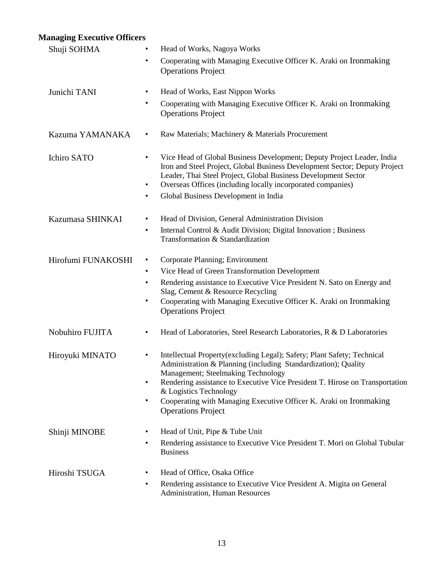# **Managing Executive Officers**

| Shuji SOHMA        | Head of Works, Nagoya Works<br>$\bullet$                                                                                                                                                                                                                                                                                                                                                                       |
|--------------------|----------------------------------------------------------------------------------------------------------------------------------------------------------------------------------------------------------------------------------------------------------------------------------------------------------------------------------------------------------------------------------------------------------------|
|                    | Cooperating with Managing Executive Officer K. Araki on Ironmaking<br><b>Operations Project</b>                                                                                                                                                                                                                                                                                                                |
| Junichi TANI       | Head of Works, East Nippon Works<br>٠                                                                                                                                                                                                                                                                                                                                                                          |
|                    | Cooperating with Managing Executive Officer K. Araki on Ironmaking<br><b>Operations Project</b>                                                                                                                                                                                                                                                                                                                |
| Kazuma YAMANAKA    | Raw Materials; Machinery & Materials Procurement<br>٠                                                                                                                                                                                                                                                                                                                                                          |
| Ichiro SATO        | Vice Head of Global Business Development; Deputy Project Leader, India<br>Iron and Steel Project, Global Business Development Sector; Deputy Project<br>Leader, Thai Steel Project, Global Business Development Sector<br>Overseas Offices (including locally incorporated companies)<br>Global Business Development in India<br>$\bullet$                                                                     |
|                    |                                                                                                                                                                                                                                                                                                                                                                                                                |
| Kazumasa SHINKAI   | Head of Division, General Administration Division<br>$\bullet$<br>Internal Control & Audit Division; Digital Innovation; Business<br>$\bullet$<br>Transformation & Standardization                                                                                                                                                                                                                             |
| Hirofumi FUNAKOSHI | Corporate Planning; Environment<br>٠                                                                                                                                                                                                                                                                                                                                                                           |
|                    | Vice Head of Green Transformation Development<br>$\bullet$                                                                                                                                                                                                                                                                                                                                                     |
|                    | Rendering assistance to Executive Vice President N. Sato on Energy and<br>$\bullet$<br>Slag, Cement & Resource Recycling<br>Cooperating with Managing Executive Officer K. Araki on Ironmaking<br>٠<br><b>Operations Project</b>                                                                                                                                                                               |
| Nobuhiro FUJITA    | Head of Laboratories, Steel Research Laboratories, R & D Laboratories<br>٠                                                                                                                                                                                                                                                                                                                                     |
| Hiroyuki MINATO    | Intellectual Property(excluding Legal); Safety; Plant Safety; Technical<br>٠<br>Administration & Planning (including Standardization); Quality<br>Management; Steelmaking Technology<br>Rendering assistance to Executive Vice President T. Hirose on Transportation<br>$\bullet$<br>& Logistics Technology<br>Cooperating with Managing Executive Officer K. Araki on Ironmaking<br><b>Operations Project</b> |
| Shinji MINOBE      | Head of Unit, Pipe & Tube Unit<br>٠<br>Rendering assistance to Executive Vice President T. Mori on Global Tubular<br>$\bullet$<br><b>Business</b>                                                                                                                                                                                                                                                              |
| Hiroshi TSUGA      | Head of Office, Osaka Office<br>٠<br>Rendering assistance to Executive Vice President A. Migita on General<br>$\bullet$<br><b>Administration, Human Resources</b>                                                                                                                                                                                                                                              |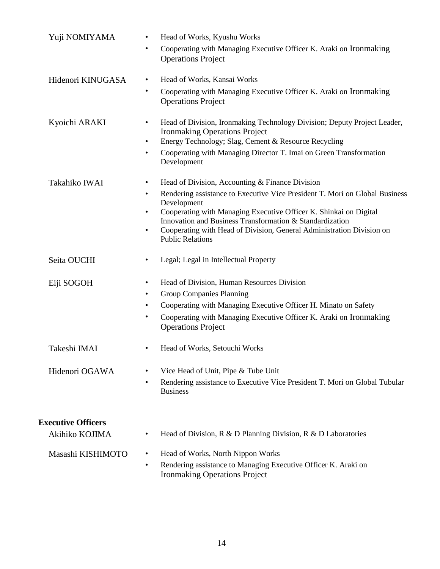| Yuji NOMIYAMA             | Head of Works, Kyushu Works<br>$\bullet$                                                                                                                                                                                                                                                                                                                               |
|---------------------------|------------------------------------------------------------------------------------------------------------------------------------------------------------------------------------------------------------------------------------------------------------------------------------------------------------------------------------------------------------------------|
|                           | Cooperating with Managing Executive Officer K. Araki on Ironmaking<br>٠<br><b>Operations Project</b>                                                                                                                                                                                                                                                                   |
| Hidenori KINUGASA         | Head of Works, Kansai Works<br>$\bullet$                                                                                                                                                                                                                                                                                                                               |
|                           | Cooperating with Managing Executive Officer K. Araki on Ironmaking<br>$\bullet$<br><b>Operations Project</b>                                                                                                                                                                                                                                                           |
| Kyoichi ARAKI             | Head of Division, Ironmaking Technology Division; Deputy Project Leader,<br>$\bullet$<br><b>Ironmaking Operations Project</b><br>Energy Technology; Slag, Cement & Resource Recycling<br>$\bullet$                                                                                                                                                                     |
|                           | Cooperating with Managing Director T. Imai on Green Transformation<br>$\bullet$<br>Development                                                                                                                                                                                                                                                                         |
| Takahiko IWAI             | Head of Division, Accounting & Finance Division<br>$\bullet$                                                                                                                                                                                                                                                                                                           |
|                           | Rendering assistance to Executive Vice President T. Mori on Global Business<br>$\bullet$<br>Development<br>Cooperating with Managing Executive Officer K. Shinkai on Digital<br>$\bullet$<br>Innovation and Business Transformation & Standardization<br>Cooperating with Head of Division, General Administration Division on<br>$\bullet$<br><b>Public Relations</b> |
| Seita OUCHI               | Legal; Legal in Intellectual Property<br>$\bullet$                                                                                                                                                                                                                                                                                                                     |
| Eiji SOGOH                | Head of Division, Human Resources Division<br>$\bullet$<br><b>Group Companies Planning</b><br>$\bullet$<br>Cooperating with Managing Executive Officer H. Minato on Safety<br>$\bullet$<br>Cooperating with Managing Executive Officer K. Araki on Ironmaking<br>$\bullet$<br><b>Operations Project</b>                                                                |
| Takeshi IMAI              | Head of Works, Setouchi Works<br>$\bullet$                                                                                                                                                                                                                                                                                                                             |
| Hidenori OGAWA            | Vice Head of Unit, Pipe & Tube Unit<br>$\bullet$<br>Rendering assistance to Executive Vice President T. Mori on Global Tubular<br>$\bullet$<br><b>Business</b>                                                                                                                                                                                                         |
| <b>Executive Officers</b> |                                                                                                                                                                                                                                                                                                                                                                        |
| Akihiko KOJIMA            | Head of Division, $R \& D$ Planning Division, $R \& D$ Laboratories<br>$\bullet$                                                                                                                                                                                                                                                                                       |
| Masashi KISHIMOTO         | Head of Works, North Nippon Works<br>$\bullet$                                                                                                                                                                                                                                                                                                                         |
|                           | Rendering assistance to Managing Executive Officer K. Araki on<br>$\bullet$<br><b>Ironmaking Operations Project</b>                                                                                                                                                                                                                                                    |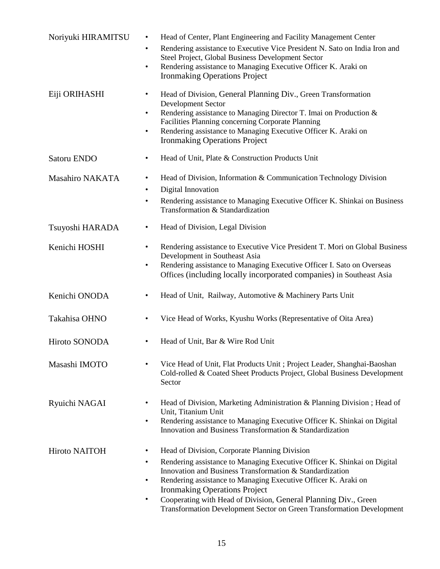| Noriyuki HIRAMITSU     | Head of Center, Plant Engineering and Facility Management Center<br>$\bullet$<br>Rendering assistance to Executive Vice President N. Sato on India Iron and<br>$\bullet$<br>Steel Project, Global Business Development Sector<br>Rendering assistance to Managing Executive Officer K. Araki on<br>$\bullet$<br><b>Ironmaking Operations Project</b>                                                                                                                                            |
|------------------------|-------------------------------------------------------------------------------------------------------------------------------------------------------------------------------------------------------------------------------------------------------------------------------------------------------------------------------------------------------------------------------------------------------------------------------------------------------------------------------------------------|
| Eiji ORIHASHI          | Head of Division, General Planning Div., Green Transformation<br>$\bullet$<br><b>Development Sector</b><br>Rendering assistance to Managing Director T. Imai on Production &<br>$\bullet$<br>Facilities Planning concerning Corporate Planning<br>Rendering assistance to Managing Executive Officer K. Araki on<br>٠<br><b>Ironmaking Operations Project</b>                                                                                                                                   |
| Satoru ENDO            | Head of Unit, Plate & Construction Products Unit<br>٠                                                                                                                                                                                                                                                                                                                                                                                                                                           |
| <b>Masahiro NAKATA</b> | Head of Division, Information & Communication Technology Division<br>$\bullet$<br>Digital Innovation<br>$\bullet$<br>Rendering assistance to Managing Executive Officer K. Shinkai on Business<br>$\bullet$<br>Transformation & Standardization                                                                                                                                                                                                                                                 |
| Tsuyoshi HARADA        | Head of Division, Legal Division<br>$\bullet$                                                                                                                                                                                                                                                                                                                                                                                                                                                   |
| Kenichi HOSHI          | Rendering assistance to Executive Vice President T. Mori on Global Business<br>$\bullet$<br>Development in Southeast Asia<br>Rendering assistance to Managing Executive Officer I. Sato on Overseas<br>$\bullet$<br>Offices (including locally incorporated companies) in Southeast Asia                                                                                                                                                                                                        |
| Kenichi ONODA          | Head of Unit, Railway, Automotive & Machinery Parts Unit<br>$\bullet$                                                                                                                                                                                                                                                                                                                                                                                                                           |
| Takahisa OHNO          | Vice Head of Works, Kyushu Works (Representative of Oita Area)<br>$\bullet$                                                                                                                                                                                                                                                                                                                                                                                                                     |
| Hiroto SONODA          | Head of Unit, Bar & Wire Rod Unit                                                                                                                                                                                                                                                                                                                                                                                                                                                               |
| Masashi IMOTO          | Vice Head of Unit, Flat Products Unit; Project Leader, Shanghai-Baoshan<br>$\bullet$<br>Cold-rolled & Coated Sheet Products Project, Global Business Development<br>Sector                                                                                                                                                                                                                                                                                                                      |
| Ryuichi NAGAI          | Head of Division, Marketing Administration & Planning Division; Head of<br>$\bullet$<br>Unit, Titanium Unit<br>Rendering assistance to Managing Executive Officer K. Shinkai on Digital<br>$\bullet$<br>Innovation and Business Transformation & Standardization                                                                                                                                                                                                                                |
| Hiroto NAITOH          | Head of Division, Corporate Planning Division<br>$\bullet$<br>Rendering assistance to Managing Executive Officer K. Shinkai on Digital<br>$\bullet$<br>Innovation and Business Transformation & Standardization<br>Rendering assistance to Managing Executive Officer K. Araki on<br>$\bullet$<br><b>Ironmaking Operations Project</b><br>Cooperating with Head of Division, General Planning Div., Green<br>$\bullet$<br>Transformation Development Sector on Green Transformation Development |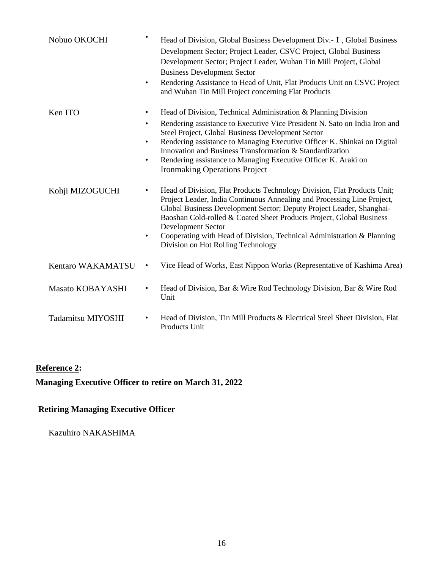| Nobuo OKOCHI            | $\bullet$                                        | Head of Division, Global Business Development Div. - I, Global Business<br>Development Sector; Project Leader, CSVC Project, Global Business<br>Development Sector; Project Leader, Wuhan Tin Mill Project, Global<br><b>Business Development Sector</b><br>Rendering Assistance to Head of Unit, Flat Products Unit on CSVC Project<br>and Wuhan Tin Mill Project concerning Flat Products                                                         |
|-------------------------|--------------------------------------------------|-----------------------------------------------------------------------------------------------------------------------------------------------------------------------------------------------------------------------------------------------------------------------------------------------------------------------------------------------------------------------------------------------------------------------------------------------------|
| Ken ITO                 | $\bullet$<br>$\bullet$<br>$\bullet$<br>$\bullet$ | Head of Division, Technical Administration & Planning Division<br>Rendering assistance to Executive Vice President N. Sato on India Iron and<br>Steel Project, Global Business Development Sector<br>Rendering assistance to Managing Executive Officer K. Shinkai on Digital<br>Innovation and Business Transformation & Standardization<br>Rendering assistance to Managing Executive Officer K. Araki on<br><b>Ironmaking Operations Project</b> |
| Kohji MIZOGUCHI         | $\bullet$<br>$\bullet$                           | Head of Division, Flat Products Technology Division, Flat Products Unit;<br>Project Leader, India Continuous Annealing and Processing Line Project,<br>Global Business Development Sector; Deputy Project Leader, Shanghai-<br>Baoshan Cold-rolled & Coated Sheet Products Project, Global Business<br><b>Development Sector</b><br>Cooperating with Head of Division, Technical Administration & Planning<br>Division on Hot Rolling Technology    |
| Kentaro WAKAMATSU       | ٠                                                | Vice Head of Works, East Nippon Works (Representative of Kashima Area)                                                                                                                                                                                                                                                                                                                                                                              |
| <b>Masato KOBAYASHI</b> |                                                  | Head of Division, Bar & Wire Rod Technology Division, Bar & Wire Rod<br>Unit                                                                                                                                                                                                                                                                                                                                                                        |
| Tadamitsu MIYOSHI       | $\bullet$                                        | Head of Division, Tin Mill Products & Electrical Steel Sheet Division, Flat<br>Products Unit                                                                                                                                                                                                                                                                                                                                                        |

# **Reference 2:**

**Managing Executive Officer to retire on March 31, 2022** 

# **Retiring Managing Executive Officer**

Kazuhiro NAKASHIMA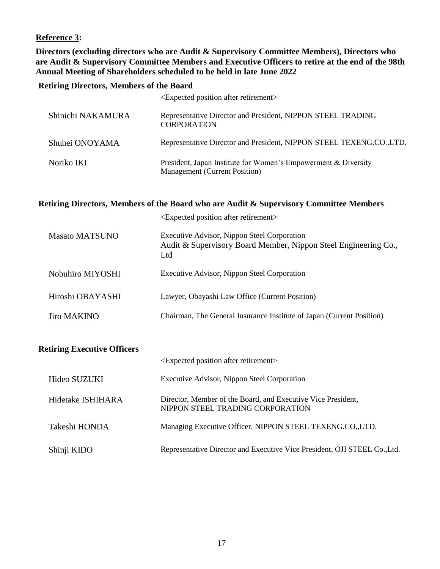# **Reference 3:**

**Directors (excluding directors who are Audit & Supervisory Committee Members), Directors who are Audit & Supervisory Committee Members and Executive Officers to retire at the end of the 98th Annual Meeting of Shareholders scheduled to be held in late June 2022**

## **Retiring Directors, Members of the Board**

|                   | <expected after="" position="" retirement=""></expected>                                               |
|-------------------|--------------------------------------------------------------------------------------------------------|
| Shinichi NAKAMURA | Representative Director and President, NIPPON STEEL TRADING<br><b>CORPORATION</b>                      |
| Shuhei ONOYAMA    | Representative Director and President, NIPPON STEEL TEXENG.CO.,LTD.                                    |
| Noriko IKI        | President, Japan Institute for Women's Empowerment & Diversity<br><b>Management</b> (Current Position) |

# **Retiring Directors, Members of the Board who are Audit & Supervisory Committee Members**

|                  | <expected after="" position="" retirement=""></expected>                                                              |
|------------------|-----------------------------------------------------------------------------------------------------------------------|
| Masato MATSUNO   | Executive Advisor, Nippon Steel Corporation<br>Audit & Supervisory Board Member, Nippon Steel Engineering Co.,<br>Ltd |
| Nobuhiro MIYOSHI | Executive Advisor, Nippon Steel Corporation                                                                           |
| Hiroshi OBAYASHI | Lawyer, Obayashi Law Office (Current Position)                                                                        |
| Jiro MAKINO      | Chairman, The General Insurance Institute of Japan (Current Position)                                                 |
|                  |                                                                                                                       |

# **Retiring Executive Officers**

|                   | <expected after="" position="" retirement=""></expected>                                         |
|-------------------|--------------------------------------------------------------------------------------------------|
| Hideo SUZUKI      | Executive Advisor, Nippon Steel Corporation                                                      |
| Hidetake ISHIHARA | Director, Member of the Board, and Executive Vice President,<br>NIPPON STEEL TRADING CORPORATION |
| Takeshi HONDA     | Managing Executive Officer, NIPPON STEEL TEXENG.CO.,LTD.                                         |
| Shinji KIDO       | Representative Director and Executive Vice President, OJI STEEL Co., Ltd.                        |